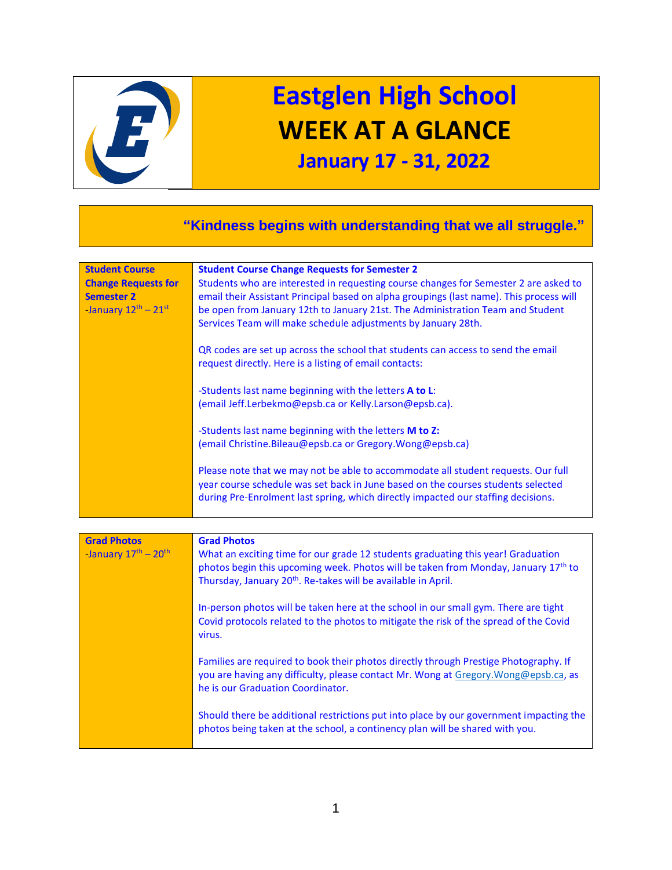

## **Eastglen High School WEEK AT A GLANCE**

## **January 17 - 31, 2022**

## **"Kindness begins with understanding that we all struggle." Student Course Change Requests for Semester 2** *-*January 12 th – 21st **Student Course Change Requests for Semester 2** Students who are interested in requesting course changes for Semester 2 are asked to email their Assistant Principal based on alpha groupings (last name). This process will be open from January 12th to January 21st. The Administration Team and Student Services Team will make schedule adjustments by January 28th. QR codes are set up across the school that students can access to send the email request directly. Here is a listing of email contacts: -Students last name beginning with the letters **A to L**: (email Jeff.Lerbekmo@epsb.ca or Kelly.Larson@epsb.ca). -Students last name beginning with the letters **M to Z:** (email Christine.Bileau@epsb.ca or Gregory.Wong@epsb.ca) Please note that we may not be able to accommodate all student requests. Our full year course schedule was set back in June based on the courses students selected during Pre-Enrolment last spring, which directly impacted our staffing decisions. **Grad Photos** *-*January 17th – 20th **Grad Photos** What an exciting time for our grade 12 students graduating this year! Graduation photos begin this upcoming week. Photos will be taken from Monday, January 17<sup>th</sup> to Thursday, January 20<sup>th</sup>. Re-takes will be available in April. In-person photos will be taken here at the school in our small gym. There are tight Covid protocols related to the photos to mitigate the risk of the spread of the Covid virus. Families are required to book their photos directly through Prestige Photography. If you are having any difficulty, please contact Mr. Wong at [Gregory.Wong@epsb.ca,](mailto:Gregory.Wong@epsb.ca) as he is our Graduation Coordinator. Should there be additional restrictions put into place by our government impacting the photos being taken at the school, a continency plan will be shared with you.